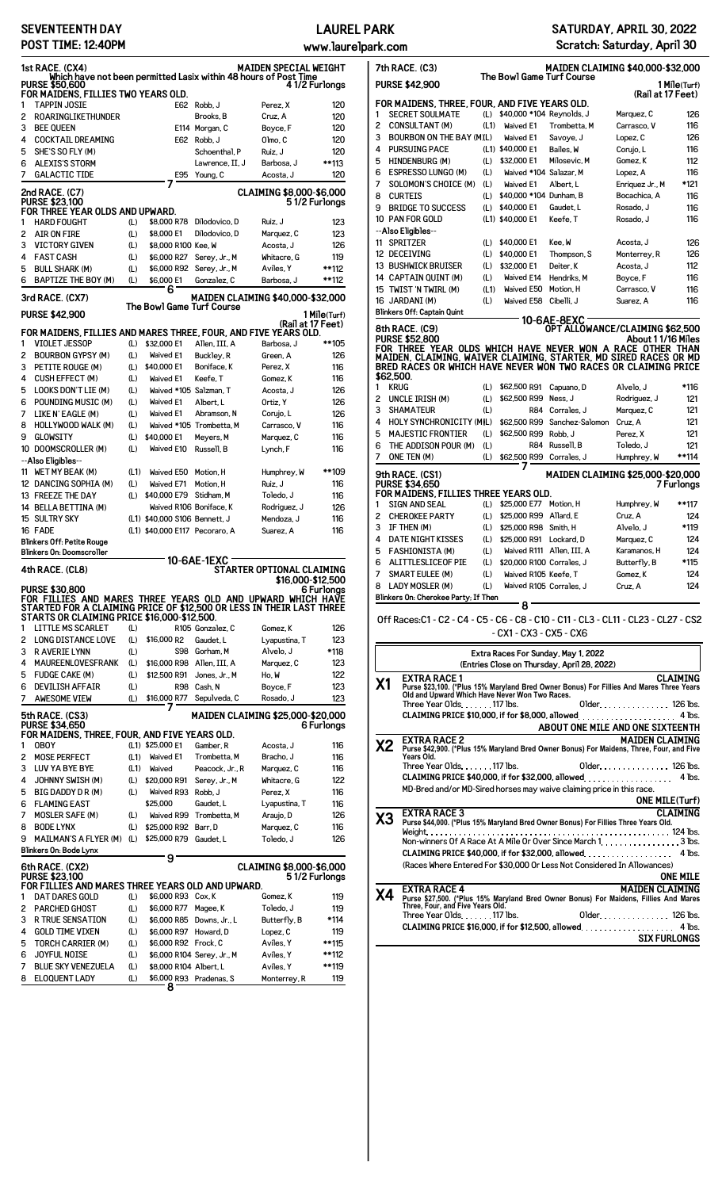## **SEVENTEENTH DAY POST TIME: 12:40PM**

## **LAUREL PARK**

**www.laurelpark.com**

| 1st RACE. (CX4)<br>MAIDEN SPECIAL WEIGHT<br>Which have not been permitted Lasix within 48 hours of Post Time<br><b>PURSE \$50,600</b><br>4 1/2 Furlongs |                                                                                |            |                     |                                                      |                                   |                      |  |  |  |
|---------------------------------------------------------------------------------------------------------------------------------------------------------|--------------------------------------------------------------------------------|------------|---------------------|------------------------------------------------------|-----------------------------------|----------------------|--|--|--|
|                                                                                                                                                         | FOR MAIDENS. FILLIES TWO YEARS OLD.                                            |            |                     |                                                      |                                   |                      |  |  |  |
| 1                                                                                                                                                       | <b>TAPPIN JOSIE</b>                                                            |            | E62                 | Robb, J                                              | Perez, X                          | 120                  |  |  |  |
| 2                                                                                                                                                       | <b>ROARINGLIKETHUNDER</b>                                                      |            |                     | Brooks, B                                            | Cruz, A                           | 120                  |  |  |  |
| 3                                                                                                                                                       | <b>BEE QUEEN</b>                                                               |            |                     | E114 Morgan, C                                       | Boyce, F                          | 120                  |  |  |  |
| 4                                                                                                                                                       | <b>COCKTAIL DREAMING</b>                                                       |            |                     | E62 Robb. J                                          | Olmo, C                           | 120                  |  |  |  |
| 5                                                                                                                                                       | SHE'S SO FLY (M)                                                               |            |                     |                                                      | Ruiz, J                           | 120                  |  |  |  |
|                                                                                                                                                         |                                                                                |            |                     | Schoenthal, P                                        |                                   |                      |  |  |  |
| 6                                                                                                                                                       | <b>ALEXIS'S STORM</b>                                                          |            |                     | Lawrence, II, J                                      | Barbosa, J                        | **113                |  |  |  |
| 7                                                                                                                                                       | <b>GALACTIC TIDE</b>                                                           |            | E95                 | Young, C                                             | Acosta, J                         | 120                  |  |  |  |
|                                                                                                                                                         | 2nd RACE. (C7)                                                                 |            |                     |                                                      | CLAIMING \$8,000-\$6,000          |                      |  |  |  |
| 1                                                                                                                                                       | <b>PURSE \$23,100</b><br>FOR THREE YEAR OLDS AND UPWARD.<br><b>HARD FOUGHT</b> | (L)        | \$8,000 R78         | Dilodovico. D                                        | Ruiz, J                           | 51/2 Furlongs<br>123 |  |  |  |
|                                                                                                                                                         |                                                                                |            |                     |                                                      |                                   |                      |  |  |  |
| 2                                                                                                                                                       | <b>AIR ON FIRE</b>                                                             | (L)        | \$8,000 E1          | Dilodovico, D                                        | Marquez, C                        | 123                  |  |  |  |
| 3                                                                                                                                                       | <b>VICTORY GIVEN</b>                                                           | (L)        | \$8,000 R100 Kee, W |                                                      | Acosta, J                         | 126                  |  |  |  |
| 4                                                                                                                                                       | <b>FAST CASH</b>                                                               | (L)        | \$6,000 R27         | Serey, Jr., M                                        | Whitacre, G                       | 119                  |  |  |  |
| 5                                                                                                                                                       | <b>BULL SHARK (M)</b>                                                          | (L)        | \$6,000 R92         | Serey, Jr., M                                        | Aviles, Y                         | **112                |  |  |  |
| 6                                                                                                                                                       | BAPTIZE THE BOY (M)                                                            | (L)        | \$6,000 E1          | Gonzalez, C                                          | Barbosa, J                        | **112                |  |  |  |
|                                                                                                                                                         |                                                                                |            | 6                   |                                                      |                                   |                      |  |  |  |
|                                                                                                                                                         | 3rd RACE. (CX7)                                                                |            |                     | The Bowl Game Turf Course                            | MAIDEN CLAIMING \$40,000-\$32,000 |                      |  |  |  |
|                                                                                                                                                         | <b>PURSE \$42,900</b>                                                          |            |                     |                                                      |                                   | 1 Mile(Turf)         |  |  |  |
|                                                                                                                                                         |                                                                                |            |                     |                                                      |                                   | (Rail at 17 Feet)    |  |  |  |
|                                                                                                                                                         | FOR MAIDENS, FILLIES AND MARES THREE, FOUR, AND FIVE YEARS OLD.                |            |                     |                                                      |                                   |                      |  |  |  |
| 1                                                                                                                                                       | <b>VIOLET JESSOP</b>                                                           | (L)        | \$32,000 E1         | Allen, III, A                                        | Barbosa, J                        | **105                |  |  |  |
| 2                                                                                                                                                       | <b>BOURBON GYPSY (M)</b>                                                       | (L)        | Waived E1           | Buckley, R                                           | Green, A                          | 126                  |  |  |  |
| 3                                                                                                                                                       | PETITE ROUGE (M)                                                               | (L)        | \$40,000 E1         | Boniface, K                                          | Perez, X                          | 116                  |  |  |  |
| 4                                                                                                                                                       | <b>CUSH EFFECT (M)</b>                                                         | (L)        | Waived E1           | Keefe.T                                              | Gomez, K                          | 116                  |  |  |  |
| 5                                                                                                                                                       | LOOKS DON'T LIE (M)                                                            |            |                     | Waived *105 Salzman. T                               | Acosta, J                         |                      |  |  |  |
|                                                                                                                                                         |                                                                                | (L)        |                     |                                                      |                                   | 126                  |  |  |  |
| 6                                                                                                                                                       | POUNDING MUSIC (M)                                                             | (L)        | Waived E1           | Albert, L                                            | Ortiz, Y                          | 126                  |  |  |  |
| 7                                                                                                                                                       | LIKE N' EAGLE (M)                                                              | (L)        | Waived E1           | Abramson, N                                          | Corujo, L                         | 126                  |  |  |  |
| 8                                                                                                                                                       | HOLLYWOOD WALK (M)                                                             | (L)        |                     | Waived *105 Trombetta, M                             | Carrasco, V                       | 116                  |  |  |  |
| 9                                                                                                                                                       | <b>GLOWSITY</b>                                                                | (L)        | \$40,000 E1         | Meyers, M                                            | Marquez, C                        | 116                  |  |  |  |
|                                                                                                                                                         | 10 DOOMSCROLLER (M)                                                            | (L)        | Waived E10          | Russell, B                                           | Lynch, F                          | 116                  |  |  |  |
|                                                                                                                                                         | --Also Eligibles--                                                             |            |                     |                                                      |                                   |                      |  |  |  |
| 11                                                                                                                                                      | WET MY BEAK (M)                                                                | (L1)       | Waived E50          | Motion, H                                            | Humphrey, W                       | **109                |  |  |  |
|                                                                                                                                                         | 12 DANCING SOPHIA (M)                                                          | (L)        |                     |                                                      |                                   |                      |  |  |  |
|                                                                                                                                                         |                                                                                |            | Waived E71          | Motion, H                                            | Ruiz, J                           | 116                  |  |  |  |
|                                                                                                                                                         | 13 FREEZE THE DAY                                                              | (L)        | \$40,000 E79        | Stidham, M                                           | Toledo, J                         | 116                  |  |  |  |
|                                                                                                                                                         | 14 BELLA BETTINA (M)                                                           |            |                     | Waived R106 Boniface, K                              | Rodriguez, J                      | 126                  |  |  |  |
|                                                                                                                                                         | 15 SULTRY SKY                                                                  |            |                     | (L1) \$40,000 S106 Bennett, J                        | Mendoza, J                        | 116                  |  |  |  |
|                                                                                                                                                         | 16 FADE                                                                        |            |                     | (L1) \$40,000 E117 Pecoraro, A                       | Suarez, A                         | 116                  |  |  |  |
|                                                                                                                                                         | <b>Blinkers Off: Petite Rouge</b>                                              |            |                     |                                                      |                                   |                      |  |  |  |
|                                                                                                                                                         | <b>Blinkers On: Doomscroller</b>                                               |            |                     |                                                      |                                   |                      |  |  |  |
|                                                                                                                                                         |                                                                                |            |                     | 10-6AE-1EXC                                          |                                   |                      |  |  |  |
|                                                                                                                                                         | 4th RACE. (CL8)                                                                |            |                     |                                                      | STARTER OPTIONAL CLAIMING         |                      |  |  |  |
|                                                                                                                                                         |                                                                                |            |                     |                                                      |                                   | \$16.000-\$12.500    |  |  |  |
|                                                                                                                                                         |                                                                                |            |                     |                                                      |                                   |                      |  |  |  |
|                                                                                                                                                         | <b>PURSE \$30,800</b>                                                          |            |                     |                                                      |                                   | 6 Furlongs           |  |  |  |
|                                                                                                                                                         | FOR FILLIES AND MARES THREE YEARS OLD AND UPWARD WHICH HAVE                    |            |                     |                                                      |                                   |                      |  |  |  |
|                                                                                                                                                         | STARTED FOR A CLAIMING PRICE OF \$12,500 OR LESS IN THEIR LAST THREE           |            |                     |                                                      |                                   |                      |  |  |  |
|                                                                                                                                                         | STARTS OR CLAIMING PRICE \$16,000-\$12,500.                                    |            |                     |                                                      |                                   |                      |  |  |  |
| 1                                                                                                                                                       | <b>LITTLE MS SCARLET</b>                                                       | (L)        |                     | R105 Gonzalez.C                                      | Gomez, K                          | 126                  |  |  |  |
| 2                                                                                                                                                       | <b>LONG DISTANCE LOVE</b>                                                      | (L)        | \$16,000 R2         | Gaudet, L                                            | Lyapustina, T                     | 123                  |  |  |  |
| 3                                                                                                                                                       | <b>R AVERIE LYNN</b>                                                           | (L)        | S98                 | Gorham, M                                            | Alvelo, J                         | *118                 |  |  |  |
| 4                                                                                                                                                       | <b>MAUREENLOVESFRANK</b>                                                       | (L)        | \$16,000 R98        | Allen, III, A                                        | Marquez, C                        | 123                  |  |  |  |
| 5                                                                                                                                                       | <b>FUDGE CAKE (M)</b>                                                          | (L)        | \$12,500 R91        | Jones, Jr., M                                        | Ho, W                             | 122                  |  |  |  |
| 6                                                                                                                                                       | <b>DEVILISH AFFAIR</b>                                                         | (L)        | <b>R98</b>          | Cash, N                                              | Boyce, F                          | 123                  |  |  |  |
| 7                                                                                                                                                       | AWESOME VIEW                                                                   | (L)        | \$16,000 R77        | Sepulveda, C                                         | Rosado, J                         | 123                  |  |  |  |
|                                                                                                                                                         |                                                                                |            |                     |                                                      |                                   |                      |  |  |  |
|                                                                                                                                                         | 5th RACE. (CS3)                                                                |            |                     |                                                      | MAIDEN CLAIMING \$25,000-\$20,000 |                      |  |  |  |
|                                                                                                                                                         | <b>PURSE \$34,650</b>                                                          |            |                     |                                                      |                                   | 6 Furlongs           |  |  |  |
|                                                                                                                                                         | FOR MAIDENS, THREE, FOUR, AND FIVE YEARS OLD.                                  |            |                     |                                                      |                                   |                      |  |  |  |
| 1                                                                                                                                                       | <b>OBOY</b>                                                                    |            | (L1) \$25,000 E1    | Gamber, R                                            | Acosta, J                         | 116                  |  |  |  |
| 2                                                                                                                                                       | <b>MOSE PERFECT</b>                                                            | (L1)       | Waived E1           | Trombetta, M                                         | Bracho, J                         | 116                  |  |  |  |
| 3                                                                                                                                                       | <b>LUV YA BYE BYE</b>                                                          | (L1)       | Waived              | Peacock, Jr., R                                      | Marquez, C                        | 116                  |  |  |  |
| 4                                                                                                                                                       | <b>JOHNNY SWISH (M)</b>                                                        | (L)        | \$20,000 R91        | Serey, Jr., M                                        | Whitacre, G                       | 122                  |  |  |  |
| 5                                                                                                                                                       | BIG DADDY D R (M)                                                              | (L)        | Waived R93          | Robb, J                                              | Perez, X                          | 116                  |  |  |  |
|                                                                                                                                                         |                                                                                |            |                     |                                                      |                                   |                      |  |  |  |
| 6                                                                                                                                                       | <b>FLAMING EAST</b>                                                            |            | \$25,000            | Gaudet, L                                            | Lyapustina, T                     | 116                  |  |  |  |
| 7                                                                                                                                                       | <b>MOSLER SAFE (M)</b>                                                         | (L)        | Waived R99          | Trombetta, M                                         | Araujo, D                         | 126                  |  |  |  |
| 8                                                                                                                                                       | <b>BODE LYNX</b>                                                               | (L)        | \$25,000 R92        | Barr, D                                              | Marquez, C                        | 116                  |  |  |  |
| 9                                                                                                                                                       | <b>MAILMAN'S A FLYER (M)</b>                                                   | (L)        | \$25,000 R79        | Gaudet, L                                            | Toledo, J                         | 126                  |  |  |  |
|                                                                                                                                                         | Blinkers On: Bode Lynx                                                         |            |                     |                                                      |                                   |                      |  |  |  |
|                                                                                                                                                         |                                                                                |            | 9                   |                                                      |                                   |                      |  |  |  |
|                                                                                                                                                         | 6th RACE. (CX2)                                                                |            |                     |                                                      | CLAIMING \$8,000-\$6,000          |                      |  |  |  |
|                                                                                                                                                         | PURSE \$23,100<br>FOR FILLIES AND MARES THREE YEARS OLD AND UPWARD.            |            |                     |                                                      |                                   | 51/2 Furlongs        |  |  |  |
| 1                                                                                                                                                       | <b>DAT DARES GOLD</b>                                                          | (L)        | \$6,000 R93 Cox, K  |                                                      | Gomez, K                          | 119                  |  |  |  |
|                                                                                                                                                         |                                                                                |            |                     |                                                      |                                   |                      |  |  |  |
| 2                                                                                                                                                       | <b>PARCHED GHOST</b>                                                           | (L)        | \$6,000 R77         | Magee, K                                             | Toledo, J                         | 119                  |  |  |  |
| 3                                                                                                                                                       | <b>R TRUE SENSATION</b>                                                        | (L)        | \$6,000 R85         | Downs, Jr., L                                        | Butterfly, B                      | *114                 |  |  |  |
| 4                                                                                                                                                       | <b>GOLD TIME VIXEN</b>                                                         | (L)        | \$6,000 R97         | Howard, D                                            | Lopez, C                          | 119                  |  |  |  |
| 5                                                                                                                                                       | <b>TORCH CARRIER (M)</b>                                                       | (L)        |                     | \$6,000 R92 Frock, C                                 | Aviles, Y                         | **115                |  |  |  |
| 6                                                                                                                                                       | <b>JOYFUL NOISE</b><br><b>BLUE SKY VENEZUELA</b>                               | (L)<br>(L) |                     | \$6,000 R104 Serey, Jr., M<br>\$8,000 R104 Albert, L | Aviles, Y<br>Aviles, Y            | **112<br>**119       |  |  |  |

8 ELOQUENT LADY (L) \$6,000 R93 Pradenas, S Monterrey, R 119 **8**

**SATURDAY, APRIL 30, 2022 Scratch: Saturday, April 30**

| The Bowl Game Turf Course<br><b>PURSE \$42,900</b><br>1 Mile(Turf) |                                                                                                                                                                      |            |                                                 |                                                |                        |            |  |  |  |
|--------------------------------------------------------------------|----------------------------------------------------------------------------------------------------------------------------------------------------------------------|------------|-------------------------------------------------|------------------------------------------------|------------------------|------------|--|--|--|
|                                                                    |                                                                                                                                                                      |            |                                                 |                                                | (Rail at 17 Feet)      |            |  |  |  |
| 1                                                                  | FOR MAIDENS, THREE, FOUR, AND FIVE YEARS OLD.<br><b>SECRET SOULMATE</b>                                                                                              | (L)        | \$40,000 *104 Reynolds, J                       |                                                | Marquez, C             | 126        |  |  |  |
| 2                                                                  | <b>CONSULTANT (M)</b>                                                                                                                                                | (L1)       | Waived E1                                       | Trombetta, M                                   | Carrasco, V            | 116        |  |  |  |
| 3                                                                  | <b>BOURBON ON THE BAY (M)(L)</b>                                                                                                                                     |            | Waived E1                                       | Savoye, J                                      | Lopez, C               | 126        |  |  |  |
| 4                                                                  | <b>PURSUING PACE</b>                                                                                                                                                 |            | (L1) \$40,000 E1                                | Bailes, W                                      | Corujo, L              | 116        |  |  |  |
| 5                                                                  | HINDENBURG (M)                                                                                                                                                       | (L)        | \$32,000 E1                                     | Milosevic, M                                   | Gomez, K               | 112        |  |  |  |
| 6                                                                  | <b>ESPRESSO LUNGO (M)</b>                                                                                                                                            | (L)        | Waived *104 Salazar, M                          |                                                | Lopez, A               | 116        |  |  |  |
| 7                                                                  | SOLOMON'S CHOICE (M)                                                                                                                                                 | (L)        | Waived E1                                       | Albert, L                                      | Enriquez Jr., M        | *121       |  |  |  |
| 8                                                                  | <b>CURTEIS</b>                                                                                                                                                       | (L)        | \$40,000 *104 Dunham, B                         |                                                | Bocachica, A           | 116        |  |  |  |
| 9                                                                  | <b>BRIDGE TO SUCCESS</b>                                                                                                                                             | (L)        | \$40,000 E1                                     | Gaudet, L                                      | Rosado, J              | 116        |  |  |  |
|                                                                    | 10 PAN FOR GOLD                                                                                                                                                      |            | (L1) \$40,000 E1                                | Keefe. T                                       | Rosado, J              | 116        |  |  |  |
| 11                                                                 | --Also Eligibles--<br><b>SPRITZER</b>                                                                                                                                | (L)        | \$40,000 E1                                     | Kee, W                                         | Acosta, J              | 126        |  |  |  |
|                                                                    | 12 DECEIVING                                                                                                                                                         | (L)        | \$40,000 E1                                     | Thompson, S                                    | Monterrey, R           | 126        |  |  |  |
|                                                                    | <b>13 BUSHWICK BRUISER</b>                                                                                                                                           | (L)        | \$32,000 E1                                     | Deiter, K                                      | Acosta, J              | 112        |  |  |  |
|                                                                    | 14 CAPTAIN QUINT (M)                                                                                                                                                 | (L)        | Waived E14                                      | Hendriks, M                                    | Boyce, F               | 116        |  |  |  |
|                                                                    | 15 TWIST 'N TWIRL (M)                                                                                                                                                | (L1)       | Waived E50                                      | Motion, H                                      | Carrasco, V            | 116        |  |  |  |
|                                                                    | 16 JARDANI (M)                                                                                                                                                       | (L)        | Waived E58                                      | Cibelli, J                                     | Suarez, A              | 116        |  |  |  |
|                                                                    | Blinkers Off: Captain Quint                                                                                                                                          |            |                                                 |                                                |                        |            |  |  |  |
|                                                                    | 8th RACE. (C9)                                                                                                                                                       |            |                                                 | 10-6AE-8EXC<br>OPT ALLOWANCE/CLAIMING \$62,500 |                        |            |  |  |  |
|                                                                    | <b>PURSE \$52,800</b>                                                                                                                                                |            |                                                 |                                                | About 1 1/16 Miles     |            |  |  |  |
|                                                                    | FOR THREE YEAR OLDS WHICH HAVE NEVER WON A RACE OTHER THAN                                                                                                           |            |                                                 |                                                |                        |            |  |  |  |
|                                                                    | MAIDEN, CLAIMING, WAIVER CLAIMING, STARTER, MD SIRED RACES OR MD<br>BRED RACES OR WHICH HAVE NEVER WON TWO RACES OR CLAIMING PRICE                                   |            |                                                 |                                                |                        |            |  |  |  |
| \$62,500.                                                          |                                                                                                                                                                      |            |                                                 |                                                |                        |            |  |  |  |
| 1                                                                  | <b>KRUG</b>                                                                                                                                                          | (L)        | \$62,500 R91                                    | Capuano, D                                     | Alvelo, J              | *116       |  |  |  |
| 2                                                                  | UNCLE IRISH (M)                                                                                                                                                      | (L)        | \$62,500 R99                                    | Ness, J                                        | Rodriguez, J           | 121        |  |  |  |
| 3                                                                  | <b>SHAMATEUR</b>                                                                                                                                                     | (L)        | R84                                             | Corrales, J                                    | Marquez, C             | 121        |  |  |  |
| 4<br>5                                                             | HOLY SYNCHRONICITY (MIL)<br><b>MAJESTIC FRONTIER</b>                                                                                                                 |            | \$62,500 R99<br>\$62,500 R99                    | Sanchez-Salomon                                | Cruz, A<br>Perez. X    | 121<br>121 |  |  |  |
| 6                                                                  | THE ADDISON POUR (M)                                                                                                                                                 | (L)<br>(L) | <b>R84</b>                                      | Robb, J<br>Russell, B                          | Toledo, J              | 121        |  |  |  |
| 7                                                                  | ONE TEN (M)                                                                                                                                                          | (L)        | \$62,500 R99                                    | Corrales, J                                    | Humphrey, W            | **114      |  |  |  |
|                                                                    |                                                                                                                                                                      |            | 7                                               |                                                |                        |            |  |  |  |
|                                                                    | 9th RACE. (CS1)<br><b>PURSE \$34,650</b>                                                                                                                             |            |                                                 | MAIDEN CLAIMING \$25,000-\$20,000              |                        | 7 Furlongs |  |  |  |
|                                                                    | FOR MAIDENS, FILLIES THREE YEARS OLD.                                                                                                                                |            |                                                 |                                                |                        |            |  |  |  |
| 1                                                                  | <b>SIGN AND SEAL</b>                                                                                                                                                 | (L)        | \$25,000 E77                                    | Motion, H                                      | Humphrey, W            | **117      |  |  |  |
|                                                                    | <b>CHEROKEE PARTY</b>                                                                                                                                                | (L)        | \$25,000 R99                                    | Allard, E                                      | Cruz, A                | 124        |  |  |  |
| 2                                                                  |                                                                                                                                                                      |            |                                                 |                                                |                        |            |  |  |  |
| 3                                                                  | IF THEN (M)                                                                                                                                                          | (L)        | \$25,000 R98                                    | Smith. H                                       | Alvelo, J              | *119       |  |  |  |
| 4                                                                  | <b>DATE NIGHT KISSES</b>                                                                                                                                             | (L)        | \$25,000 R91                                    | Lockard, D                                     | Marquez, C             | 124        |  |  |  |
| 5                                                                  | <b>FASHIONISTA (M)</b>                                                                                                                                               | (L)        |                                                 | Waived R111 Allen, III, A                      | Karamanos, H           | 124        |  |  |  |
| 6                                                                  | <b>ALITTLESLICEOF PIE</b>                                                                                                                                            | (L)        | \$20,000 R100 Corrales, J                       |                                                | Butterfly, B           | *115       |  |  |  |
| 7<br>8                                                             | SMART EULEE (M)<br><b>LADY MOSLER (M)</b>                                                                                                                            | (L)<br>(L) | Waived R105 Keefe, T<br>Waived R105 Corrales, J |                                                | Gomez.K<br>Cruz, A     | 124<br>124 |  |  |  |
|                                                                    | Blinkers On: Cherokee Party; If Then                                                                                                                                 |            |                                                 |                                                |                        |            |  |  |  |
|                                                                    |                                                                                                                                                                      |            | 8                                               |                                                |                        |            |  |  |  |
|                                                                    | Off Races:C1 - C2 - C4 - C5 - C6 - C8 - C10 - C11 - CL3 - CL11 - CL23 - CL27 - CS2                                                                                   |            |                                                 |                                                |                        |            |  |  |  |
|                                                                    |                                                                                                                                                                      |            | - CX1 - CX3 - CX5 - CX6                         |                                                |                        |            |  |  |  |
|                                                                    |                                                                                                                                                                      |            |                                                 | Extra Races For Sunday, May 1, 2022            |                        |            |  |  |  |
|                                                                    |                                                                                                                                                                      |            |                                                 | (Entries Close on Thursday, April 28, 2022)    |                        |            |  |  |  |
|                                                                    | EXTRA RACE 1                                                                                                                                                         |            |                                                 |                                                |                        | CLAIMING   |  |  |  |
| Χ1                                                                 |                                                                                                                                                                      |            |                                                 |                                                |                        |            |  |  |  |
|                                                                    | Purse \$23,100. (*Plus 15% Maryland Bred Owner Bonus) For Fillies And Mares Three Years<br>Old and Upward Which Have Never Won Two Races.<br>Three Year Olds117 lbs. |            |                                                 |                                                | 01 der. 126 lbs.       |            |  |  |  |
|                                                                    | CLAIMING PRICE \$10,000, if for \$8,000, allowed $\ldots$                                                                                                            |            |                                                 |                                                |                        | 4 lbs.     |  |  |  |
|                                                                    |                                                                                                                                                                      |            |                                                 | ABOUT ONE MILE AND ONE SIXTEENTH               |                        |            |  |  |  |
| XZ                                                                 | EXTRA RACE 2                                                                                                                                                         |            |                                                 |                                                | <b>MAIDEN CLAIMING</b> |            |  |  |  |
|                                                                    | Purse \$42,900. (*Plus 15% Maryland Bred Owner Bonus) For Maidens, Three, Four, and Five<br>Years Old.                                                               |            |                                                 |                                                |                        |            |  |  |  |
|                                                                    | Three Year Olds 117 lbs.                                                                                                                                             |            |                                                 |                                                | 01 der. 126 lbs.       |            |  |  |  |
|                                                                    | CLAIMING PRICE \$40,000, if for \$32,000, allowed.                                                                                                                   |            |                                                 |                                                |                        | 4 lbs.     |  |  |  |
|                                                                    | MD-Bred and/or MD-Sired horses may waive claiming price in this race.                                                                                                |            |                                                 |                                                |                        |            |  |  |  |
|                                                                    |                                                                                                                                                                      |            |                                                 |                                                | <b>ONE MILE(Turt)</b>  |            |  |  |  |
| X3                                                                 | <b>EXTRA RACE 3</b><br>Purse \$44,000. (*Plus 15% Maryland Bred Owner Bonus) For Fillies Three Years Old.                                                            |            |                                                 |                                                |                        | CLAIMING   |  |  |  |
|                                                                    |                                                                                                                                                                      |            |                                                 |                                                |                        |            |  |  |  |
|                                                                    | Non-winners Of A Race At A Mile Or Over Since March 1. 3 lbs.                                                                                                        |            |                                                 |                                                |                        |            |  |  |  |
|                                                                    | CLAIMING PRICE \$40,000, if for \$32,000, allowed.                                                                                                                   |            |                                                 |                                                |                        | 4 lbs.     |  |  |  |
|                                                                    | (Races Where Entered For \$30,000 Or Less Not Considered In Allowances)                                                                                              |            |                                                 |                                                |                        | ONE MILE   |  |  |  |
|                                                                    | EXTRA RACE 4                                                                                                                                                         |            |                                                 |                                                | <b>MAIDEN CLAIMING</b> |            |  |  |  |
| Χ4                                                                 |                                                                                                                                                                      |            |                                                 |                                                |                        |            |  |  |  |
|                                                                    | Purse \$27,500. (*Plus 15% Maryland Bred Owner Bonus) For Maidens, Fillies And Mares<br>Three, Four, and Five Years Old.<br>Three Year Olds. 117 lbs.                |            |                                                 |                                                | 01 der. 126 lbs.       |            |  |  |  |
|                                                                    |                                                                                                                                                                      |            |                                                 |                                                | <b>SIX FURLONGS</b>    | 4 lbs.     |  |  |  |